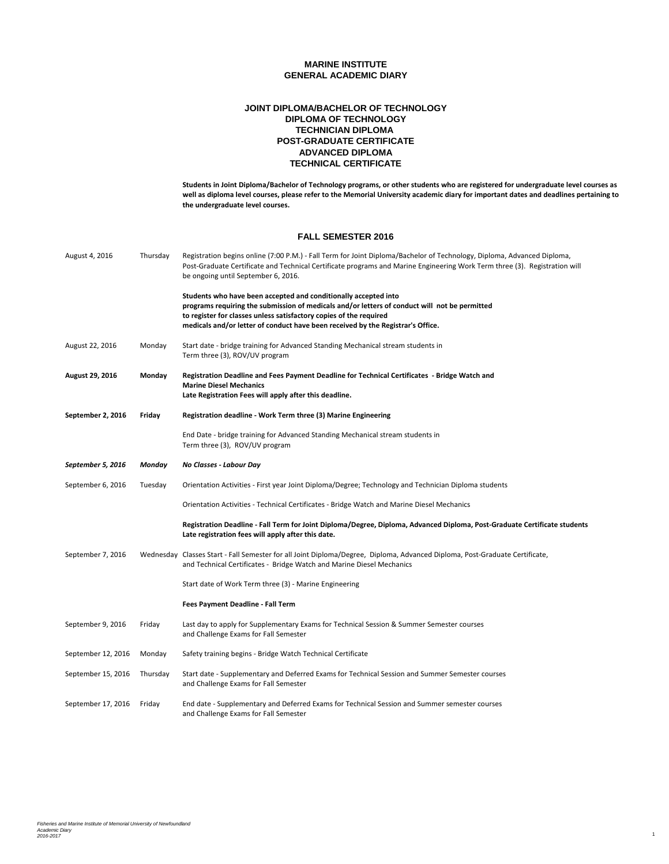### **POST-GRADUATE CERTIFICATE JOINT DIPLOMA/BACHELOR OF TECHNOLOGY DIPLOMA OF TECHNOLOGY TECHNICIAN DIPLOMA ADVANCED DIPLOMA TECHNICAL CERTIFICATE**

**Students in Joint Diploma/Bachelor of Technology programs, or other students who are registered for undergraduate level courses as well as diploma level courses, please refer to the Memorial University academic diary for important dates and deadlines pertaining to the undergraduate level courses.**

#### **FALL SEMESTER 2016**

| August 4, 2016     | Thursday | Registration begins online (7:00 P.M.) - Fall Term for Joint Diploma/Bachelor of Technology, Diploma, Advanced Diploma,<br>Post-Graduate Certificate and Technical Certificate programs and Marine Engineering Work Term three (3). Registration will<br>be ongoing until September 6, 2016.                              |
|--------------------|----------|---------------------------------------------------------------------------------------------------------------------------------------------------------------------------------------------------------------------------------------------------------------------------------------------------------------------------|
|                    |          | Students who have been accepted and conditionally accepted into<br>programs requiring the submission of medicals and/or letters of conduct will not be permitted<br>to register for classes unless satisfactory copies of the required<br>medicals and/or letter of conduct have been received by the Registrar's Office. |
| August 22, 2016    | Monday   | Start date - bridge training for Advanced Standing Mechanical stream students in<br>Term three (3), ROV/UV program                                                                                                                                                                                                        |
| August 29, 2016    | Monday   | Registration Deadline and Fees Payment Deadline for Technical Certificates - Bridge Watch and<br><b>Marine Diesel Mechanics</b><br>Late Registration Fees will apply after this deadline.                                                                                                                                 |
| September 2, 2016  | Friday   | Registration deadline - Work Term three (3) Marine Engineering                                                                                                                                                                                                                                                            |
|                    |          | End Date - bridge training for Advanced Standing Mechanical stream students in<br>Term three (3), ROV/UV program                                                                                                                                                                                                          |
| September 5, 2016  | Monday   | No Classes - Labour Day                                                                                                                                                                                                                                                                                                   |
| September 6, 2016  | Tuesday  | Orientation Activities - First year Joint Diploma/Degree; Technology and Technician Diploma students                                                                                                                                                                                                                      |
|                    |          | Orientation Activities - Technical Certificates - Bridge Watch and Marine Diesel Mechanics                                                                                                                                                                                                                                |
|                    |          | Registration Deadline - Fall Term for Joint Diploma/Degree, Diploma, Advanced Diploma, Post-Graduate Certificate students<br>Late registration fees will apply after this date.                                                                                                                                           |
| September 7, 2016  |          | Wednesday Classes Start - Fall Semester for all Joint Diploma/Degree, Diploma, Advanced Diploma, Post-Graduate Certificate,<br>and Technical Certificates - Bridge Watch and Marine Diesel Mechanics                                                                                                                      |
|                    |          | Start date of Work Term three (3) - Marine Engineering                                                                                                                                                                                                                                                                    |
|                    |          | Fees Payment Deadline - Fall Term                                                                                                                                                                                                                                                                                         |
| September 9, 2016  | Friday   | Last day to apply for Supplementary Exams for Technical Session & Summer Semester courses<br>and Challenge Exams for Fall Semester                                                                                                                                                                                        |
| September 12, 2016 | Monday   | Safety training begins - Bridge Watch Technical Certificate                                                                                                                                                                                                                                                               |
| September 15, 2016 | Thursday | Start date - Supplementary and Deferred Exams for Technical Session and Summer Semester courses<br>and Challenge Exams for Fall Semester                                                                                                                                                                                  |
| September 17, 2016 | Friday   | End date - Supplementary and Deferred Exams for Technical Session and Summer semester courses<br>and Challenge Exams for Fall Semester                                                                                                                                                                                    |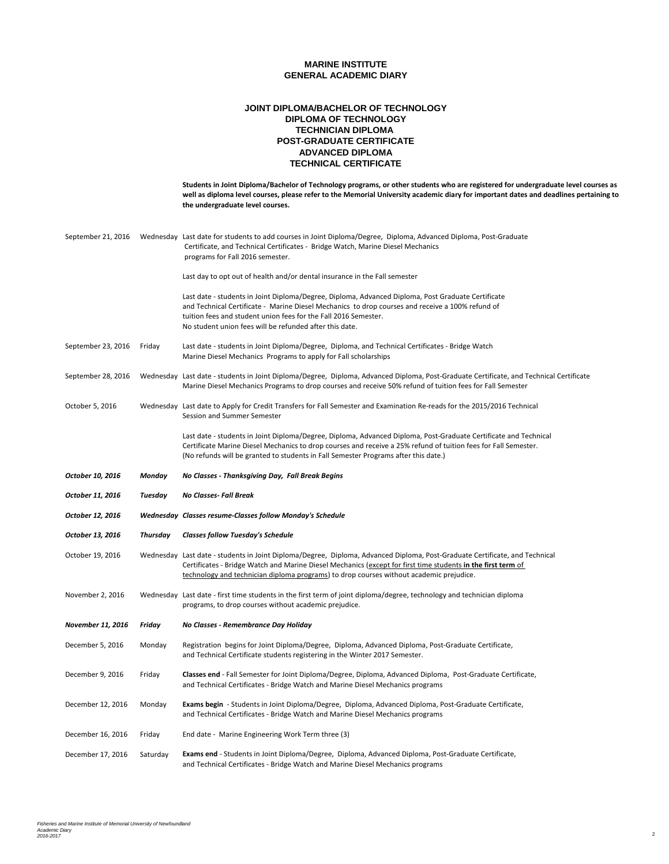### **POST-GRADUATE CERTIFICATE JOINT DIPLOMA/BACHELOR OF TECHNOLOGY DIPLOMA OF TECHNOLOGY TECHNICIAN DIPLOMA ADVANCED DIPLOMA TECHNICAL CERTIFICATE**

|                    |                 | Students in Joint Diploma/Bachelor of Technology programs, or other students who are registered for undergraduate level courses as<br>well as diploma level courses, please refer to the Memorial University academic diary for important dates and deadlines pertaining to<br>the undergraduate level courses.                        |
|--------------------|-----------------|----------------------------------------------------------------------------------------------------------------------------------------------------------------------------------------------------------------------------------------------------------------------------------------------------------------------------------------|
| September 21, 2016 |                 | Wednesday Last date for students to add courses in Joint Diploma/Degree, Diploma, Advanced Diploma, Post-Graduate<br>Certificate, and Technical Certificates - Bridge Watch, Marine Diesel Mechanics<br>programs for Fall 2016 semester.                                                                                               |
|                    |                 | Last day to opt out of health and/or dental insurance in the Fall semester                                                                                                                                                                                                                                                             |
|                    |                 | Last date - students in Joint Diploma/Degree, Diploma, Advanced Diploma, Post Graduate Certificate<br>and Technical Certificate - Marine Diesel Mechanics to drop courses and receive a 100% refund of<br>tuition fees and student union fees for the Fall 2016 Semester.<br>No student union fees will be refunded after this date.   |
| September 23, 2016 | Friday          | Last date - students in Joint Diploma/Degree, Diploma, and Technical Certificates - Bridge Watch<br>Marine Diesel Mechanics Programs to apply for Fall scholarships                                                                                                                                                                    |
| September 28, 2016 |                 | Wednesday Last date - students in Joint Diploma/Degree, Diploma, Advanced Diploma, Post-Graduate Certificate, and Technical Certificate<br>Marine Diesel Mechanics Programs to drop courses and receive 50% refund of tuition fees for Fall Semester                                                                                   |
| October 5, 2016    |                 | Wednesday Last date to Apply for Credit Transfers for Fall Semester and Examination Re-reads for the 2015/2016 Technical<br>Session and Summer Semester                                                                                                                                                                                |
|                    |                 | Last date - students in Joint Diploma/Degree, Diploma, Advanced Diploma, Post-Graduate Certificate and Technical<br>Certificate Marine Diesel Mechanics to drop courses and receive a 25% refund of tuition fees for Fall Semester.<br>(No refunds will be granted to students in Fall Semester Programs after this date.)             |
| October 10, 2016   | Monday          | No Classes - Thanksgiving Day, Fall Break Begins                                                                                                                                                                                                                                                                                       |
|                    |                 |                                                                                                                                                                                                                                                                                                                                        |
| October 11, 2016   | Tuesday         | No Classes- Fall Break                                                                                                                                                                                                                                                                                                                 |
| October 12, 2016   |                 | Wednesday Classes resume-Classes follow Monday's Schedule                                                                                                                                                                                                                                                                              |
| October 13, 2016   | <b>Thursday</b> | <b>Classes follow Tuesday's Schedule</b>                                                                                                                                                                                                                                                                                               |
| October 19, 2016   |                 | Wednesday Last date - students in Joint Diploma/Degree, Diploma, Advanced Diploma, Post-Graduate Certificate, and Technical<br>Certificates - Bridge Watch and Marine Diesel Mechanics (except for first time students in the first term of<br>technology and technician diploma programs) to drop courses without academic prejudice. |
| November 2, 2016   |                 | Wednesday Last date - first time students in the first term of joint diploma/degree, technology and technician diploma<br>programs, to drop courses without academic prejudice.                                                                                                                                                        |
| November 11, 2016  | Friday          | No Classes - Remembrance Day Holiday                                                                                                                                                                                                                                                                                                   |
| December 5, 2016   | Monday          | Registration begins for Joint Diploma/Degree, Diploma, Advanced Diploma, Post-Graduate Certificate,<br>and Technical Certificate students registering in the Winter 2017 Semester.                                                                                                                                                     |
| December 9, 2016   | Friday          | Classes end - Fall Semester for Joint Diploma/Degree, Diploma, Advanced Diploma, Post-Graduate Certificate,<br>and Technical Certificates - Bridge Watch and Marine Diesel Mechanics programs                                                                                                                                          |
| December 12, 2016  | Monday          | Exams begin - Students in Joint Diploma/Degree, Diploma, Advanced Diploma, Post-Graduate Certificate,<br>and Technical Certificates - Bridge Watch and Marine Diesel Mechanics programs                                                                                                                                                |
| December 16, 2016  | Friday          | End date - Marine Engineering Work Term three (3)                                                                                                                                                                                                                                                                                      |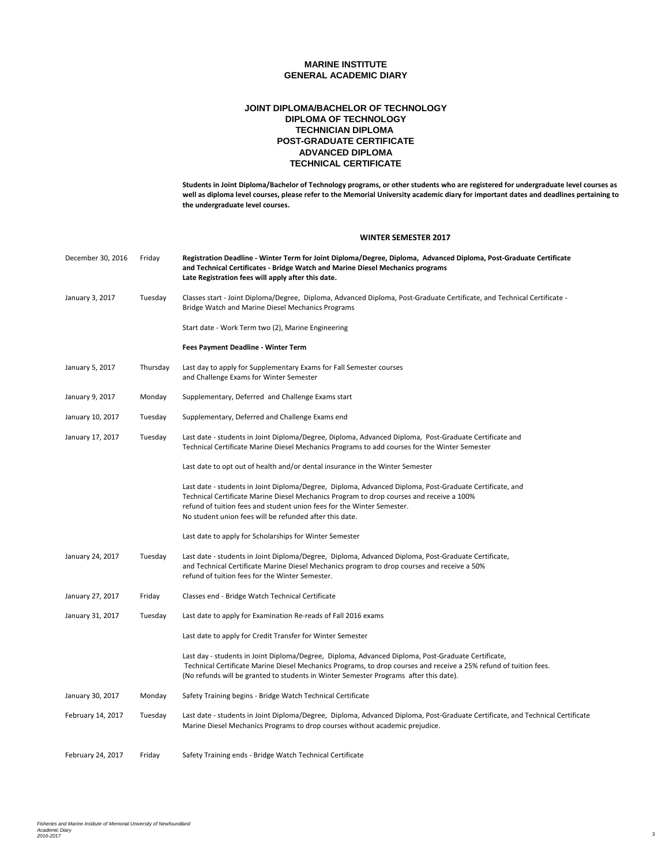### **POST-GRADUATE CERTIFICATE JOINT DIPLOMA/BACHELOR OF TECHNOLOGY DIPLOMA OF TECHNOLOGY TECHNICIAN DIPLOMA ADVANCED DIPLOMA TECHNICAL CERTIFICATE**

**Students in Joint Diploma/Bachelor of Technology programs, or other students who are registered for undergraduate level courses as well as diploma level courses, please refer to the Memorial University academic diary for important dates and deadlines pertaining to the undergraduate level courses.**

#### **WINTER SEMESTER 2017**

| December 30, 2016 | Friday   | Registration Deadline - Winter Term for Joint Diploma/Degree, Diploma, Advanced Diploma, Post-Graduate Certificate<br>and Technical Certificates - Bridge Watch and Marine Diesel Mechanics programs<br>Late Registration fees will apply after this date.                                                                               |
|-------------------|----------|------------------------------------------------------------------------------------------------------------------------------------------------------------------------------------------------------------------------------------------------------------------------------------------------------------------------------------------|
| January 3, 2017   | Tuesday  | Classes start - Joint Diploma/Degree, Diploma, Advanced Diploma, Post-Graduate Certificate, and Technical Certificate -<br>Bridge Watch and Marine Diesel Mechanics Programs                                                                                                                                                             |
|                   |          | Start date - Work Term two (2), Marine Engineering                                                                                                                                                                                                                                                                                       |
|                   |          | Fees Payment Deadline - Winter Term                                                                                                                                                                                                                                                                                                      |
| January 5, 2017   | Thursday | Last day to apply for Supplementary Exams for Fall Semester courses<br>and Challenge Exams for Winter Semester                                                                                                                                                                                                                           |
| January 9, 2017   | Monday   | Supplementary, Deferred and Challenge Exams start                                                                                                                                                                                                                                                                                        |
| January 10, 2017  | Tuesday  | Supplementary, Deferred and Challenge Exams end                                                                                                                                                                                                                                                                                          |
| January 17, 2017  | Tuesday  | Last date - students in Joint Diploma/Degree, Diploma, Advanced Diploma, Post-Graduate Certificate and<br>Technical Certificate Marine Diesel Mechanics Programs to add courses for the Winter Semester                                                                                                                                  |
|                   |          | Last date to opt out of health and/or dental insurance in the Winter Semester                                                                                                                                                                                                                                                            |
|                   |          | Last date - students in Joint Diploma/Degree, Diploma, Advanced Diploma, Post-Graduate Certificate, and<br>Technical Certificate Marine Diesel Mechanics Program to drop courses and receive a 100%<br>refund of tuition fees and student union fees for the Winter Semester.<br>No student union fees will be refunded after this date. |
|                   |          | Last date to apply for Scholarships for Winter Semester                                                                                                                                                                                                                                                                                  |
| January 24, 2017  | Tuesday  | Last date - students in Joint Diploma/Degree, Diploma, Advanced Diploma, Post-Graduate Certificate,<br>and Technical Certificate Marine Diesel Mechanics program to drop courses and receive a 50%<br>refund of tuition fees for the Winter Semester.                                                                                    |
| January 27, 2017  | Friday   | Classes end - Bridge Watch Technical Certificate                                                                                                                                                                                                                                                                                         |
| January 31, 2017  | Tuesday  | Last date to apply for Examination Re-reads of Fall 2016 exams                                                                                                                                                                                                                                                                           |
|                   |          | Last date to apply for Credit Transfer for Winter Semester                                                                                                                                                                                                                                                                               |
|                   |          | Last day - students in Joint Diploma/Degree, Diploma, Advanced Diploma, Post-Graduate Certificate,<br>Technical Certificate Marine Diesel Mechanics Programs, to drop courses and receive a 25% refund of tuition fees.<br>(No refunds will be granted to students in Winter Semester Programs after this date).                         |
| January 30, 2017  | Monday   | Safety Training begins - Bridge Watch Technical Certificate                                                                                                                                                                                                                                                                              |
| February 14, 2017 | Tuesday  | Last date - students in Joint Diploma/Degree, Diploma, Advanced Diploma, Post-Graduate Certificate, and Technical Certificate<br>Marine Diesel Mechanics Programs to drop courses without academic prejudice.                                                                                                                            |
| February 24, 2017 | Friday   | Safety Training ends - Bridge Watch Technical Certificate                                                                                                                                                                                                                                                                                |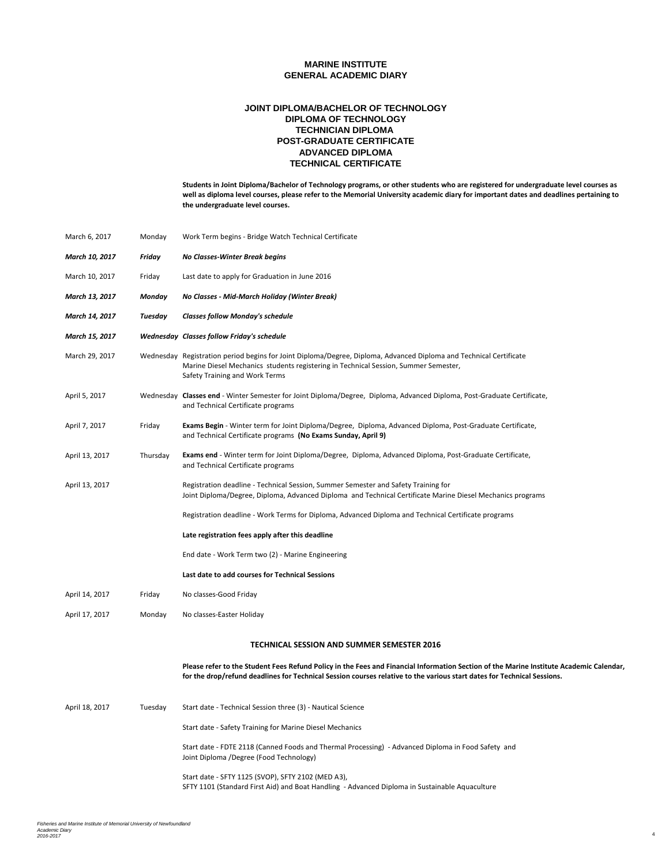### **POST-GRADUATE CERTIFICATE JOINT DIPLOMA/BACHELOR OF TECHNOLOGY DIPLOMA OF TECHNOLOGY TECHNICIAN DIPLOMA ADVANCED DIPLOMA TECHNICAL CERTIFICATE**

| March 6, 2017  | Monday   | Work Term begins - Bridge Watch Technical Certificate                                                                                                                                                                                                              |
|----------------|----------|--------------------------------------------------------------------------------------------------------------------------------------------------------------------------------------------------------------------------------------------------------------------|
| March 10, 2017 | Friday   | No Classes-Winter Break begins                                                                                                                                                                                                                                     |
| March 10, 2017 | Friday   | Last date to apply for Graduation in June 2016                                                                                                                                                                                                                     |
| March 13, 2017 | Monday   | No Classes - Mid-March Holiday (Winter Break)                                                                                                                                                                                                                      |
| March 14, 2017 | Tuesday  | <b>Classes follow Monday's schedule</b>                                                                                                                                                                                                                            |
| March 15, 2017 |          | Wednesday Classes follow Friday's schedule                                                                                                                                                                                                                         |
| March 29, 2017 |          | Wednesday Registration period begins for Joint Diploma/Degree, Diploma, Advanced Diploma and Technical Certificate<br>Marine Diesel Mechanics students registering in Technical Session, Summer Semester,<br>Safety Training and Work Terms                        |
| April 5, 2017  |          | Wednesday Classes end - Winter Semester for Joint Diploma/Degree, Diploma, Advanced Diploma, Post-Graduate Certificate,<br>and Technical Certificate programs                                                                                                      |
| April 7, 2017  | Friday   | Exams Begin - Winter term for Joint Diploma/Degree, Diploma, Advanced Diploma, Post-Graduate Certificate,<br>and Technical Certificate programs (No Exams Sunday, April 9)                                                                                         |
| April 13, 2017 | Thursday | Exams end - Winter term for Joint Diploma/Degree, Diploma, Advanced Diploma, Post-Graduate Certificate,<br>and Technical Certificate programs                                                                                                                      |
| April 13, 2017 |          | Registration deadline - Technical Session, Summer Semester and Safety Training for<br>Joint Diploma/Degree, Diploma, Advanced Diploma and Technical Certificate Marine Diesel Mechanics programs                                                                   |
|                |          | Registration deadline - Work Terms for Diploma, Advanced Diploma and Technical Certificate programs                                                                                                                                                                |
|                |          | Late registration fees apply after this deadline                                                                                                                                                                                                                   |
|                |          | End date - Work Term two (2) - Marine Engineering                                                                                                                                                                                                                  |
|                |          | Last date to add courses for Technical Sessions                                                                                                                                                                                                                    |
| April 14, 2017 | Friday   | No classes-Good Friday                                                                                                                                                                                                                                             |
| April 17, 2017 | Monday   | No classes-Easter Holiday                                                                                                                                                                                                                                          |
|                |          | TECHNICAL SESSION AND SUMMER SEMESTER 2016                                                                                                                                                                                                                         |
|                |          | Please refer to the Student Fees Refund Policy in the Fees and Financial Information Section of the Marine Institute Academic Calendar,<br>for the drop/refund deadlines for Technical Session courses relative to the various start dates for Technical Sessions. |
| April 18, 2017 | Tuesday  | Start date - Technical Session three (3) - Nautical Science                                                                                                                                                                                                        |
|                |          | Start date - Safety Training for Marine Diesel Mechanics                                                                                                                                                                                                           |
|                |          | Start date - FDTE 2118 (Canned Foods and Thermal Processing) - Advanced Diploma in Food Safety and<br>Joint Diploma /Degree (Food Technology)                                                                                                                      |
|                |          | Start date - SFTY 1125 (SVOP), SFTY 2102 (MED A3),<br>SFTY 1101 (Standard First Aid) and Boat Handling - Advanced Diploma in Sustainable Aquaculture                                                                                                               |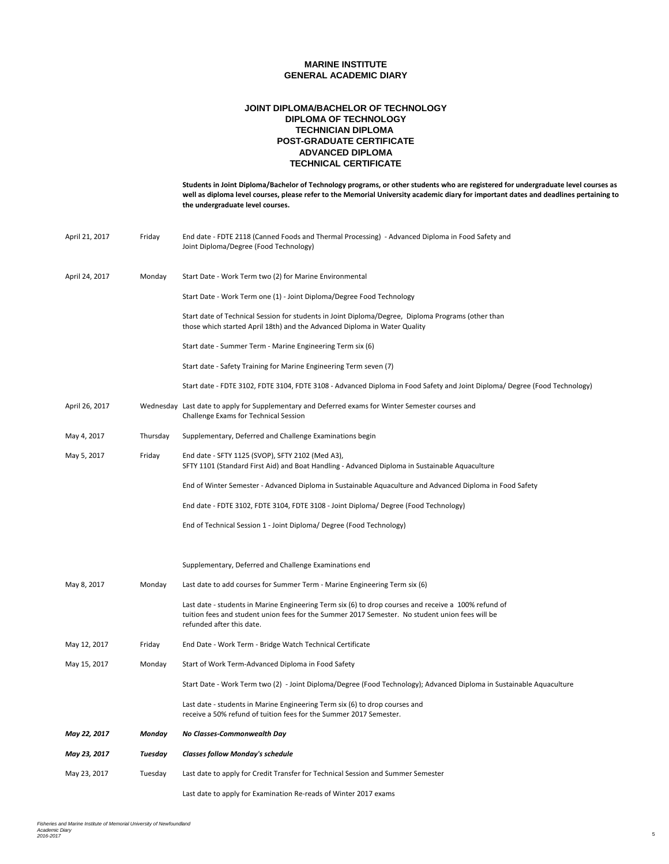### **POST-GRADUATE CERTIFICATE JOINT DIPLOMA/BACHELOR OF TECHNOLOGY DIPLOMA OF TECHNOLOGY TECHNICIAN DIPLOMA ADVANCED DIPLOMA TECHNICAL CERTIFICATE**

|                |          | Students in Joint Diploma/Bachelor of Technology programs, or other students who are registered for undergraduate level courses as<br>well as diploma level courses, please refer to the Memorial University academic diary for important dates and deadlines pertaining to<br>the undergraduate level courses. |
|----------------|----------|-----------------------------------------------------------------------------------------------------------------------------------------------------------------------------------------------------------------------------------------------------------------------------------------------------------------|
| April 21, 2017 | Friday   | End date - FDTE 2118 (Canned Foods and Thermal Processing) - Advanced Diploma in Food Safety and<br>Joint Diploma/Degree (Food Technology)                                                                                                                                                                      |
| April 24, 2017 | Monday   | Start Date - Work Term two (2) for Marine Environmental                                                                                                                                                                                                                                                         |
|                |          | Start Date - Work Term one (1) - Joint Diploma/Degree Food Technology                                                                                                                                                                                                                                           |
|                |          | Start date of Technical Session for students in Joint Diploma/Degree, Diploma Programs (other than<br>those which started April 18th) and the Advanced Diploma in Water Quality                                                                                                                                 |
|                |          | Start date - Summer Term - Marine Engineering Term six (6)                                                                                                                                                                                                                                                      |
|                |          | Start date - Safety Training for Marine Engineering Term seven (7)                                                                                                                                                                                                                                              |
|                |          | Start date - FDTE 3102, FDTE 3104, FDTE 3108 - Advanced Diploma in Food Safety and Joint Diploma/ Degree (Food Technology)                                                                                                                                                                                      |
| April 26, 2017 |          | Wednesday Last date to apply for Supplementary and Deferred exams for Winter Semester courses and<br>Challenge Exams for Technical Session                                                                                                                                                                      |
| May 4, 2017    | Thursday | Supplementary, Deferred and Challenge Examinations begin                                                                                                                                                                                                                                                        |
| May 5, 2017    | Friday   | End date - SFTY 1125 (SVOP), SFTY 2102 (Med A3),<br>SFTY 1101 (Standard First Aid) and Boat Handling - Advanced Diploma in Sustainable Aquaculture                                                                                                                                                              |
|                |          | End of Winter Semester - Advanced Diploma in Sustainable Aquaculture and Advanced Diploma in Food Safety                                                                                                                                                                                                        |
|                |          | End date - FDTE 3102, FDTE 3104, FDTE 3108 - Joint Diploma/ Degree (Food Technology)                                                                                                                                                                                                                            |
|                |          | End of Technical Session 1 - Joint Diploma/ Degree (Food Technology)                                                                                                                                                                                                                                            |
|                |          | Supplementary, Deferred and Challenge Examinations end                                                                                                                                                                                                                                                          |
| May 8, 2017    | Monday   | Last date to add courses for Summer Term - Marine Engineering Term six (6)                                                                                                                                                                                                                                      |
|                |          | Last date - students in Marine Engineering Term six (6) to drop courses and receive a 100% refund of<br>tuition fees and student union fees for the Summer 2017 Semester. No student union fees will be<br>refunded after this date.                                                                            |
| May 12, 2017   | Friday   | End Date - Work Term - Bridge Watch Technical Certificate                                                                                                                                                                                                                                                       |
| May 15, 2017   | Monday   | Start of Work Term-Advanced Diploma in Food Safety                                                                                                                                                                                                                                                              |
|                |          | Start Date - Work Term two (2) - Joint Diploma/Degree (Food Technology); Advanced Diploma in Sustainable Aquaculture                                                                                                                                                                                            |
|                |          | Last date - students in Marine Engineering Term six (6) to drop courses and<br>receive a 50% refund of tuition fees for the Summer 2017 Semester.                                                                                                                                                               |
| May 22, 2017   | Monday   | No Classes-Commonwealth Day                                                                                                                                                                                                                                                                                     |
| May 23, 2017   | Tuesday  | <b>Classes follow Monday's schedule</b>                                                                                                                                                                                                                                                                         |
| May 23, 2017   | Tuesday  | Last date to apply for Credit Transfer for Technical Session and Summer Semester                                                                                                                                                                                                                                |
|                |          | Last date to apply for Examination Re-reads of Winter 2017 exams                                                                                                                                                                                                                                                |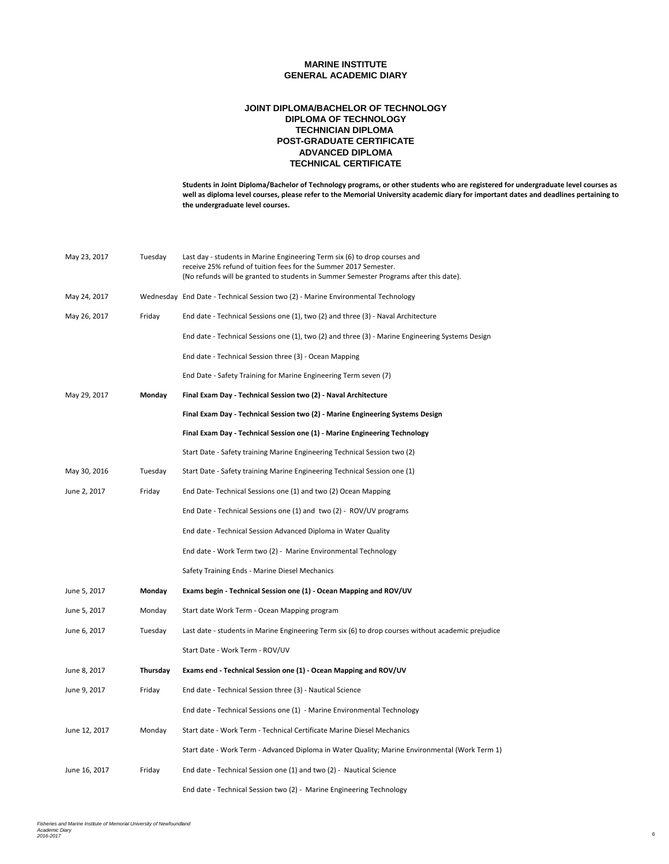### **POST-GRADUATE CERTIFICATE JOINT DIPLOMA/BACHELOR OF TECHNOLOGY DIPLOMA OF TECHNOLOGY TECHNICIAN DIPLOMA ADVANCED DIPLOMA TECHNICAL CERTIFICATE**

| May 23, 2017  | Tuesday  | Last day - students in Marine Engineering Term six (6) to drop courses and<br>receive 25% refund of tuition fees for the Summer 2017 Semester.<br>(No refunds will be granted to students in Summer Semester Programs after this date). |
|---------------|----------|-----------------------------------------------------------------------------------------------------------------------------------------------------------------------------------------------------------------------------------------|
| May 24, 2017  |          | Wednesday End Date - Technical Session two (2) - Marine Environmental Technology                                                                                                                                                        |
| May 26, 2017  | Friday   | End date - Technical Sessions one (1), two (2) and three (3) - Naval Architecture                                                                                                                                                       |
|               |          | End date - Technical Sessions one (1), two (2) and three (3) - Marine Engineering Systems Design                                                                                                                                        |
|               |          | End date - Technical Session three (3) - Ocean Mapping                                                                                                                                                                                  |
|               |          | End Date - Safety Training for Marine Engineering Term seven (7)                                                                                                                                                                        |
| May 29, 2017  | Monday   | Final Exam Day - Technical Session two (2) - Naval Architecture                                                                                                                                                                         |
|               |          | Final Exam Day - Technical Session two (2) - Marine Engineering Systems Design                                                                                                                                                          |
|               |          | Final Exam Day - Technical Session one (1) - Marine Engineering Technology                                                                                                                                                              |
|               |          | Start Date - Safety training Marine Engineering Technical Session two (2)                                                                                                                                                               |
| May 30, 2016  | Tuesday  | Start Date - Safety training Marine Engineering Technical Session one (1)                                                                                                                                                               |
| June 2, 2017  | Friday   | End Date-Technical Sessions one (1) and two (2) Ocean Mapping                                                                                                                                                                           |
|               |          | End Date - Technical Sessions one (1) and two (2) - ROV/UV programs                                                                                                                                                                     |
|               |          | End date - Technical Session Advanced Diploma in Water Quality                                                                                                                                                                          |
|               |          | End date - Work Term two (2) - Marine Environmental Technology                                                                                                                                                                          |
|               |          | Safety Training Ends - Marine Diesel Mechanics                                                                                                                                                                                          |
| June 5, 2017  | Monday   | Exams begin - Technical Session one (1) - Ocean Mapping and ROV/UV                                                                                                                                                                      |
| June 5, 2017  | Monday   | Start date Work Term - Ocean Mapping program                                                                                                                                                                                            |
| June 6, 2017  | Tuesday  | Last date - students in Marine Engineering Term six (6) to drop courses without academic prejudice                                                                                                                                      |
|               |          | Start Date - Work Term - ROV/UV                                                                                                                                                                                                         |
| June 8, 2017  | Thursday | Exams end - Technical Session one (1) - Ocean Mapping and ROV/UV                                                                                                                                                                        |
| June 9, 2017  | Friday   | End date - Technical Session three (3) - Nautical Science                                                                                                                                                                               |
|               |          | End date - Technical Sessions one (1) - Marine Environmental Technology                                                                                                                                                                 |
| June 12, 2017 | Monday   | Start date - Work Term - Technical Certificate Marine Diesel Mechanics                                                                                                                                                                  |
|               |          | Start date - Work Term - Advanced Diploma in Water Quality; Marine Environmental (Work Term 1)                                                                                                                                          |
| June 16, 2017 | Friday   | End date - Technical Session one (1) and two (2) - Nautical Science                                                                                                                                                                     |
|               |          | End date - Technical Session two (2) - Marine Engineering Technology                                                                                                                                                                    |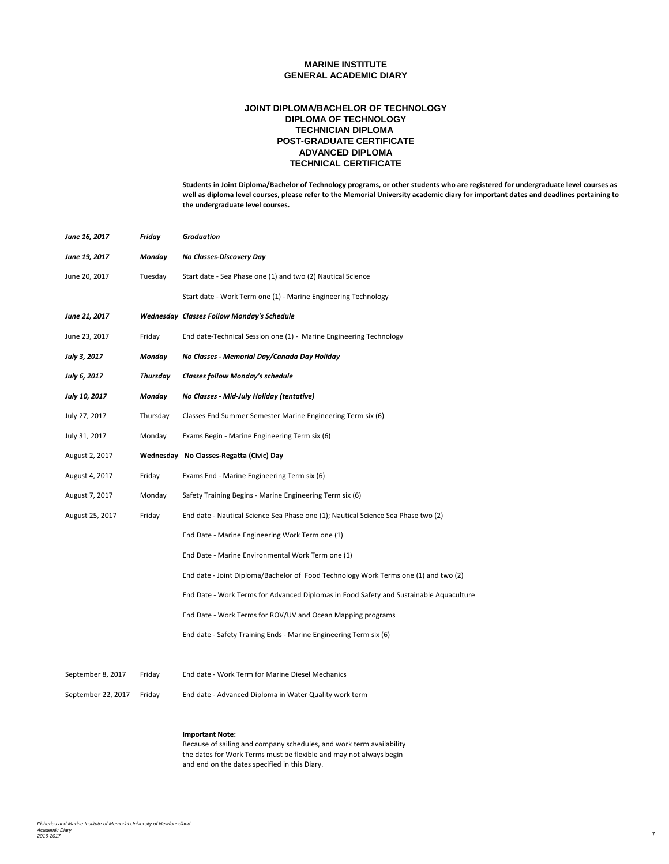### **POST-GRADUATE CERTIFICATE JOINT DIPLOMA/BACHELOR OF TECHNOLOGY DIPLOMA OF TECHNOLOGY TECHNICIAN DIPLOMA ADVANCED DIPLOMA TECHNICAL CERTIFICATE**

**Students in Joint Diploma/Bachelor of Technology programs, or other students who are registered for undergraduate level courses as well as diploma level courses, please refer to the Memorial University academic diary for important dates and deadlines pertaining to the undergraduate level courses.**

| June 16, 2017      | Friday   | Graduation                                                                             |
|--------------------|----------|----------------------------------------------------------------------------------------|
| June 19, 2017      | Monday   | No Classes-Discovery Day                                                               |
| June 20, 2017      | Tuesday  | Start date - Sea Phase one (1) and two (2) Nautical Science                            |
|                    |          | Start date - Work Term one (1) - Marine Engineering Technology                         |
| June 21, 2017      |          | <b>Wednesday Classes Follow Monday's Schedule</b>                                      |
| June 23, 2017      | Friday   | End date-Technical Session one (1) - Marine Engineering Technology                     |
| July 3, 2017       | Monday   | No Classes - Memorial Day/Canada Day Holiday                                           |
| July 6, 2017       | Thursday | <b>Classes follow Monday's schedule</b>                                                |
| July 10, 2017      | Monday   | No Classes - Mid-July Holiday (tentative)                                              |
| July 27, 2017      | Thursday | Classes End Summer Semester Marine Engineering Term six (6)                            |
| July 31, 2017      | Monday   | Exams Begin - Marine Engineering Term six (6)                                          |
| August 2, 2017     |          | Wednesday No Classes-Regatta (Civic) Day                                               |
| August 4, 2017     | Friday   | Exams End - Marine Engineering Term six (6)                                            |
| August 7, 2017     | Monday   | Safety Training Begins - Marine Engineering Term six (6)                               |
| August 25, 2017    | Friday   | End date - Nautical Science Sea Phase one (1); Nautical Science Sea Phase two (2)      |
|                    |          | End Date - Marine Engineering Work Term one (1)                                        |
|                    |          | End Date - Marine Environmental Work Term one (1)                                      |
|                    |          | End date - Joint Diploma/Bachelor of Food Technology Work Terms one (1) and two (2)    |
|                    |          | End Date - Work Terms for Advanced Diplomas in Food Safety and Sustainable Aquaculture |
|                    |          | End Date - Work Terms for ROV/UV and Ocean Mapping programs                            |
|                    |          | End date - Safety Training Ends - Marine Engineering Term six (6)                      |
|                    |          |                                                                                        |
| September 8, 2017  | Friday   | End date - Work Term for Marine Diesel Mechanics                                       |
| September 22, 2017 | Friday   | End date - Advanced Diploma in Water Quality work term                                 |
|                    |          |                                                                                        |

### **Important Note:**

Because of sailing and company schedules, and work term availability the dates for Work Terms must be flexible and may not always begin and end on the dates specified in this Diary.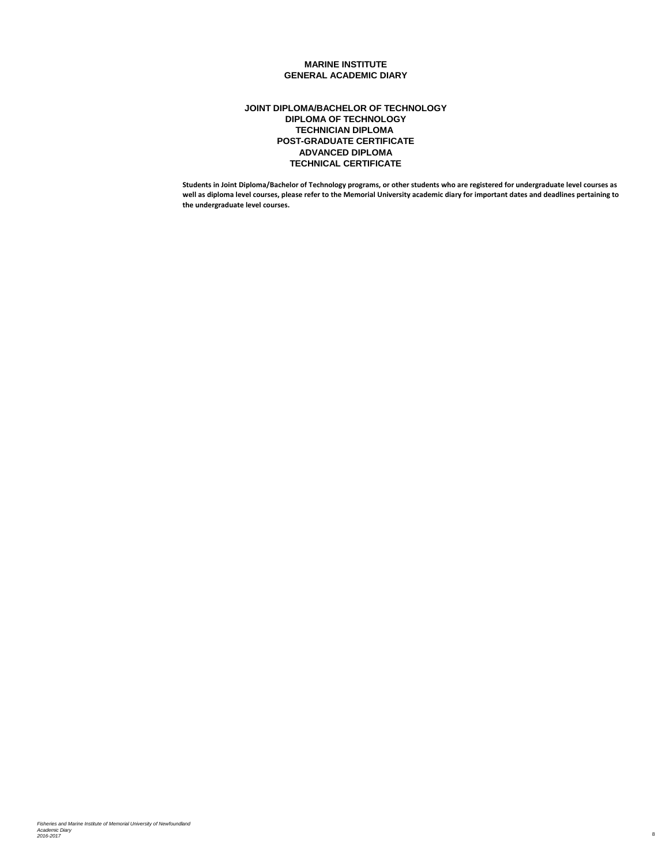### **POST-GRADUATE CERTIFICATE JOINT DIPLOMA/BACHELOR OF TECHNOLOGY DIPLOMA OF TECHNOLOGY TECHNICIAN DIPLOMA ADVANCED DIPLOMA TECHNICAL CERTIFICATE**